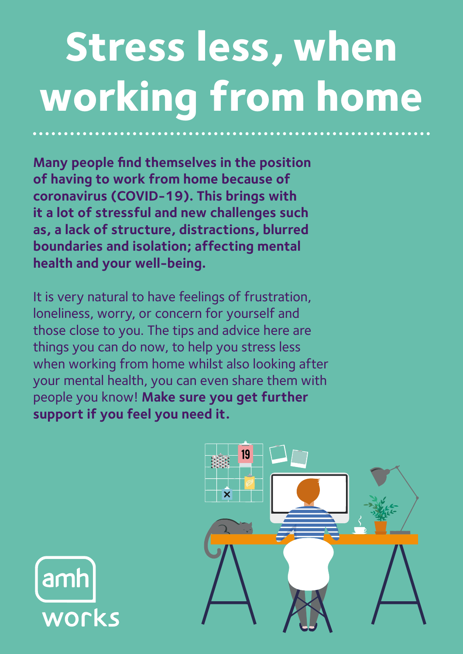## **Stress less, when working from home**

**Many people find themselves in the position of having to work from home because of coronavirus (COVID-19). This brings with it a lot of stressful and new challenges such as, a lack of structure, distractions, blurred boundaries and isolation; affecting mental health and your well-being.** 

It is very natural to have feelings of frustration, loneliness, worry, or concern for yourself and those close to you. The tips and advice here are things you can do now, to help you stress less when working from home whilst also looking after your mental health, you can even share them with people you know! **Make sure you get further support if you feel you need it.**



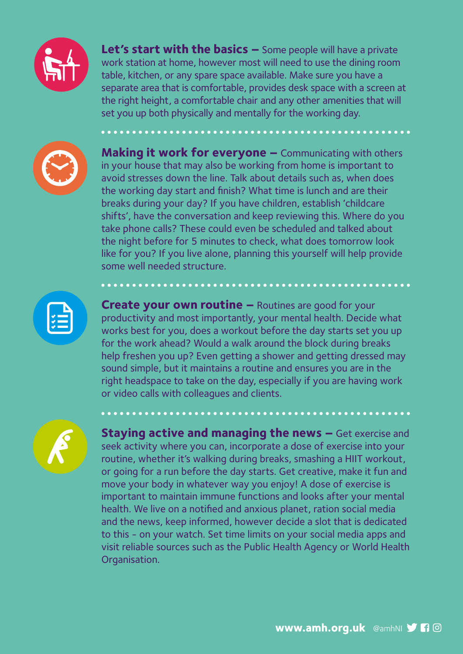

**Let's start with the basics –** Some people will have a private work station at home, however most will need to use the dining room table, kitchen, or any spare space available. Make sure you have a separate area that is comfortable, provides desk space with a screen at the right height, a comfortable chair and any other amenities that will set you up both physically and mentally for the working day.



**Making it work for everyone –** Communicating with others in your house that may also be working from home is important to avoid stresses down the line. Talk about details such as, when does the working day start and finish? What time is lunch and are their breaks during your day? If you have children, establish 'childcare shifts', have the conversation and keep reviewing this. Where do you take phone calls? These could even be scheduled and talked about the night before for 5 minutes to check, what does tomorrow look like for you? If you live alone, planning this yourself will help provide some well needed structure.



**Create your own routine –** Routines are good for your productivity and most importantly, your mental health. Decide what works best for you, does a workout before the day starts set you up for the work ahead? Would a walk around the block during breaks help freshen you up? Even getting a shower and getting dressed may sound simple, but it maintains a routine and ensures you are in the right headspace to take on the day, especially if you are having work or video calls with colleagues and clients.



**Staying active and managing the news –** Get exercise and seek activity where you can, incorporate a dose of exercise into your routine, whether it's walking during breaks, smashing a HIIT workout, or going for a run before the day starts. Get creative, make it fun and move your body in whatever way you enjoy! A dose of exercise is important to maintain immune functions and looks after your mental health. We live on a notified and anxious planet, ration social media and the news, keep informed, however decide a slot that is dedicated to this - on your watch. Set time limits on your social media apps and visit reliable sources such as the Public Health Agency or World Health Organisation.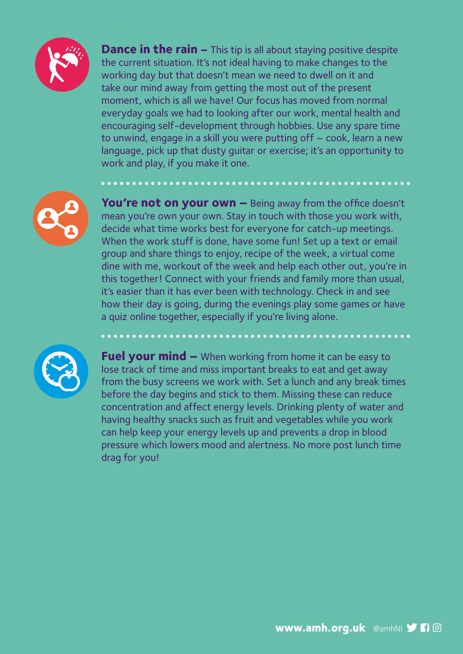

**Dance in the rain –** This tip is all about staying positive despite the current situation. It's not ideal having to make changes to the working day but that doesn't mean we need to dwell on it and take our mind away from getting the most out of the present moment, which is all we have! Our focus has moved from normal everyday goals we had to looking after our work, mental health and encouraging self-development through hobbies. Use any spare time to unwind, engage in a skill you were putting off – cook, learn a new language, pick up that dusty guitar or exercise; it's an opportunity to work and play, if you make it one.

**You're not on your own –** Being away from the office doesn't mean you're own your own. Stay in touch with those you work with, decide what time works best for everyone for catch-up meetings. When the work stuff is done, have some fun! Set up a text or email group and share things to enjoy, recipe of the week, a virtual come dine with me, workout of the week and help each other out, you're in this together! Connect with your friends and family more than usual, it's easier than it has ever been with technology. Check in and see how their day is going, during the evenings play some games or have a quiz online together, especially if you're living alone.



**Fuel your mind –** When working from home it can be easy to lose track of time and miss important breaks to eat and get away from the busy screens we work with. Set a lunch and any break times before the day begins and stick to them. Missing these can reduce concentration and affect energy levels. Drinking plenty of water and having healthy snacks such as fruit and vegetables while you work can help keep your energy levels up and prevents a drop in blood pressure which lowers mood and alertness. No more post lunch time drag for you!